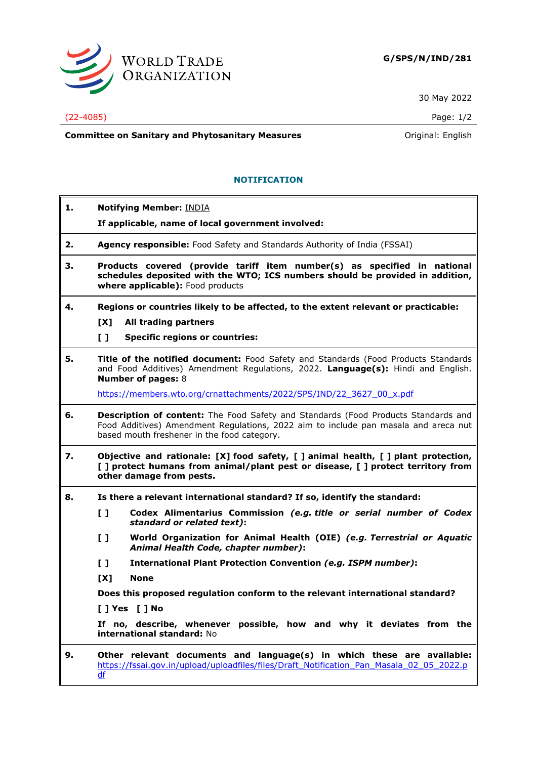

30 May 2022

## (22-4085) Page: 1/2

**Committee on Sanitary and Phytosanitary Measures Committee on Sanitary and Phytosanitary Measures Committee And American** 

## **NOTIFICATION**

**1. Notifying Member:** INDIA **If applicable, name of local government involved: 2. Agency responsible:** Food Safety and Standards Authority of India (FSSAI) **3. Products covered (provide tariff item number(s) as specified in national schedules deposited with the WTO; ICS numbers should be provided in addition, where applicable):** Food products **4. Regions or countries likely to be affected, to the extent relevant or practicable: [X] All trading partners [ ] Specific regions or countries: 5. Title of the notified document:** Food Safety and Standards (Food Products Standards and Food Additives) Amendment Regulations, 2022. **Language(s):** Hindi and English. **Number of pages:** 8 [https://members.wto.org/crnattachments/2022/SPS/IND/22\\_3627\\_00\\_x.pdf](https://members.wto.org/crnattachments/2022/SPS/IND/22_3627_00_x.pdf) **6. Description of content:** The Food Safety and Standards (Food Products Standards and Food Additives) Amendment Regulations, 2022 aim to include pan masala and areca nut based mouth freshener in the food category. **7. Objective and rationale: [X] food safety, [ ] animal health, [ ] plant protection, [ ] protect humans from animal/plant pest or disease, [ ] protect territory from other damage from pests. 8. Is there a relevant international standard? If so, identify the standard: [ ] Codex Alimentarius Commission** *(e.g. title or serial number of Codex standard or related text)***: [ ] World Organization for Animal Health (OIE)** *(e.g. Terrestrial or Aquatic Animal Health Code, chapter number)***: [ ] International Plant Protection Convention** *(e.g. ISPM number)***: [X] None Does this proposed regulation conform to the relevant international standard? [ ] Yes [ ] No If no, describe, whenever possible, how and why it deviates from the international standard:** No **9. Other relevant documents and language(s) in which these are available:** [https://fssai.gov.in/upload/uploadfiles/files/Draft\\_Notification\\_Pan\\_Masala\\_02\\_05\\_2022.p](https://fssai.gov.in/upload/uploadfiles/files/Draft_Notification_Pan_Masala_02_05_2022.pdf) [df](https://fssai.gov.in/upload/uploadfiles/files/Draft_Notification_Pan_Masala_02_05_2022.pdf)